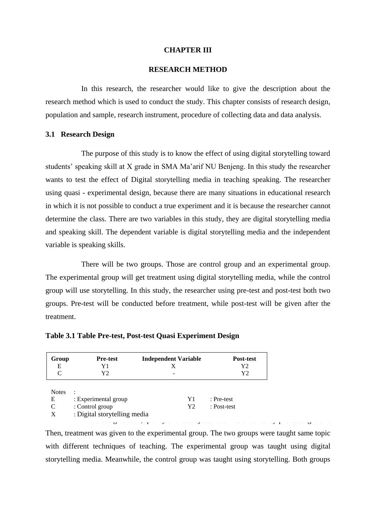### **CHAPTER III**

### **RESEARCH METHOD**

In this research, the researcher would like to give the description about the research method which is used to conduct the study. This chapter consists of research design, population and sample, research instrument, procedure of collecting data and data analysis.

### **3.1 Research Design**

The purpose of this study is to know the effect of using digital storytelling toward students' speaking skill at X grade in SMA Ma'arif NU Benjeng. In this study the researcher wants to test the effect of Digital storytelling media in teaching speaking. The researcher using quasi - experimental design, because there are many situations in educational research in which it is not possible to conduct a true experiment and it is because the researcher cannot determine the class. There are two variables in this study, they are digital storytelling media and speaking skill. The dependent variable is digital storytelling media and the independent variable is speaking skills.

There will be two groups. Those are control group and an experimental group. The experimental group will get treatment using digital storytelling media, while the control group will use storytelling. In this study, the researcher using pre-test and post-test both two groups. Pre-test will be conducted before treatment, while post-test will be given after the treatment.

| <b>Notes</b><br>$\bullet$<br>E               | Y1 | : Pre-test  |
|----------------------------------------------|----|-------------|
| : Experimental group<br>: Control group<br>C | Y2 | : Post-test |
| : Digital storytelling media<br>X            |    |             |

# **Table 3.1 Table Pre-test, Post-test Quasi Experiment Design**

Then, treatment was given to the experimental group. The two groups were taught same topic with different techniques of teaching. The experimental group was taught using digital storytelling media. Meanwhile, the control group was taught using storytelling. Both groups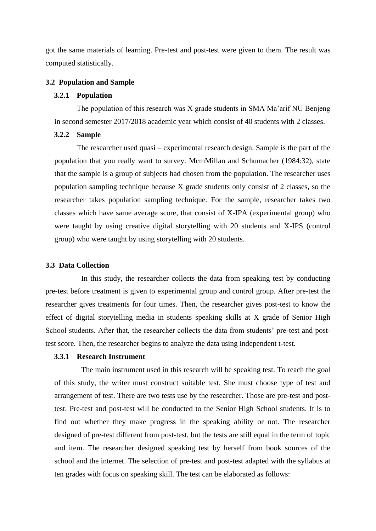got the same materials of learning. Pre-test and post-test were given to them. The result was computed statistically.

### **3.2 Population and Sample**

# **3.2.1 Population**

The population of this research was X grade students in SMA Ma'arif NU Benjeng in second semester 2017/2018 academic year which consist of 40 students with 2 classes.

# **3.2.2 Sample**

The researcher used quasi – experimental research design. Sample is the part of the population that you really want to survey. McmMillan and Schumacher (1984:32), state that the sample is a group of subjects had chosen from the population. The researcher uses population sampling technique because X grade students only consist of 2 classes, so the researcher takes population sampling technique. For the sample, researcher takes two classes which have same average score, that consist of X-IPA (experimental group) who were taught by using creative digital storytelling with 20 students and X-IPS (control group) who were taught by using storytelling with 20 students.

#### **3.3 Data Collection**

In this study, the researcher collects the data from speaking test by conducting pre-test before treatment is given to experimental group and control group. After pre-test the researcher gives treatments for four times. Then, the researcher gives post-test to know the effect of digital storytelling media in students speaking skills at X grade of Senior High School students. After that, the researcher collects the data from students' pre-test and posttest score. Then, the researcher begins to analyze the data using independent t-test.

# **3.3.1 Research Instrument**

The main instrument used in this research will be speaking test. To reach the goal of this study, the writer must construct suitable test. She must choose type of test and arrangement of test. There are two tests use by the researcher. Those are pre-test and posttest. Pre-test and post-test will be conducted to the Senior High School students. It is to find out whether they make progress in the speaking ability or not. The researcher designed of pre-test different from post-test, but the tests are still equal in the term of topic and item. The researcher designed speaking test by herself from book sources of the school and the internet. The selection of pre-test and post-test adapted with the syllabus at ten grades with focus on speaking skill. The test can be elaborated as follows: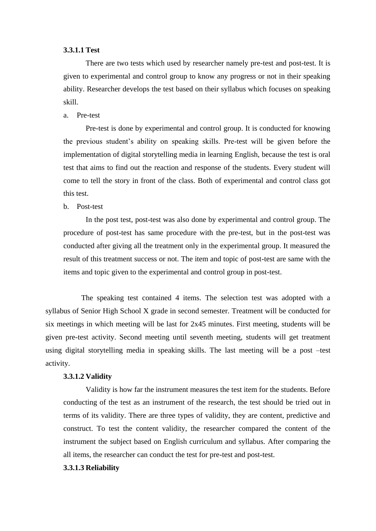### **3.3.1.1 Test**

There are two tests which used by researcher namely pre-test and post-test. It is given to experimental and control group to know any progress or not in their speaking ability. Researcher develops the test based on their syllabus which focuses on speaking skill.

### a. Pre-test

Pre-test is done by experimental and control group. It is conducted for knowing the previous student's ability on speaking skills. Pre-test will be given before the implementation of digital storytelling media in learning English, because the test is oral test that aims to find out the reaction and response of the students. Every student will come to tell the story in front of the class. Both of experimental and control class got this test.

### b. Post-test

In the post test, post-test was also done by experimental and control group. The procedure of post-test has same procedure with the pre-test, but in the post-test was conducted after giving all the treatment only in the experimental group. It measured the result of this treatment success or not. The item and topic of post-test are same with the items and topic given to the experimental and control group in post-test.

The speaking test contained 4 items. The selection test was adopted with a syllabus of Senior High School X grade in second semester. Treatment will be conducted for six meetings in which meeting will be last for 2x45 minutes. First meeting, students will be given pre-test activity. Second meeting until seventh meeting, students will get treatment using digital storytelling media in speaking skills. The last meeting will be a post –test activity.

# **3.3.1.2 Validity**

Validity is how far the instrument measures the test item for the students. Before conducting of the test as an instrument of the research, the test should be tried out in terms of its validity. There are three types of validity, they are content, predictive and construct. To test the content validity, the researcher compared the content of the instrument the subject based on English curriculum and syllabus. After comparing the all items, the researcher can conduct the test for pre-test and post-test.

# **3.3.1.3 Reliability**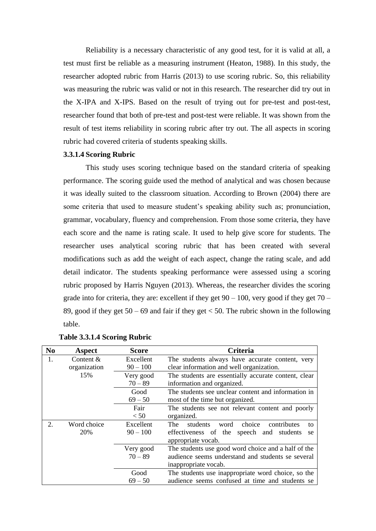Reliability is a necessary characteristic of any good test, for it is valid at all, a test must first be reliable as a measuring instrument (Heaton, 1988). In this study, the researcher adopted rubric from Harris (2013) to use scoring rubric. So, this reliability was measuring the rubric was valid or not in this research. The researcher did try out in the X-IPA and X-IPS. Based on the result of trying out for pre-test and post-test, researcher found that both of pre-test and post-test were reliable. It was shown from the result of test items reliability in scoring rubric after try out. The all aspects in scoring rubric had covered criteria of students speaking skills.

### **3.3.1.4 Scoring Rubric**

This study uses scoring technique based on the standard criteria of speaking performance. The scoring guide used the method of analytical and was chosen because it was ideally suited to the classroom situation. According to Brown (2004) there are some criteria that used to measure student's speaking ability such as; pronunciation, grammar, vocabulary, fluency and comprehension. From those some criteria, they have each score and the name is rating scale. It used to help give score for students. The researcher uses analytical scoring rubric that has been created with several modifications such as add the weight of each aspect, change the rating scale, and add detail indicator. The students speaking performance were assessed using a scoring rubric proposed by Harris Nguyen (2013). Whereas, the researcher divides the scoring grade into for criteria, they are: excellent if they get  $90 - 100$ , very good if they get  $70 -$ 89, good if they get  $50 - 69$  and fair if they get  $< 50$ . The rubric shown in the following table.

| N <sub>0</sub> | Aspect       | <b>Score</b> | Criteria                                               |  |
|----------------|--------------|--------------|--------------------------------------------------------|--|
| 1.             | Content $&$  | Excellent    | The students always have accurate content, very        |  |
|                | organization | $90 - 100$   | clear information and well organization.               |  |
|                | 15%          | Very good    | The students are essentially accurate content, clear   |  |
|                |              | $70 - 89$    | information and organized.                             |  |
|                |              | Good         | The students see unclear content and information in    |  |
|                |              | $69 - 50$    | most of the time but organized.                        |  |
|                |              | Fair         | The students see not relevant content and poorly       |  |
|                |              | < 50         | organized.                                             |  |
| 2.             | Word choice  | Excellent    | students<br>choice<br>The<br>contributes<br>word<br>to |  |
|                | 20%          | $90 - 100$   | effectiveness of the speech and students<br>se         |  |
|                |              |              | appropriate vocab.                                     |  |
|                |              | Very good    | The students use good word choice and a half of the    |  |
|                |              | $70 - 89$    | audience seems understand and students se several      |  |
|                |              |              | inappropriate vocab.                                   |  |
|                |              | Good         | The students use inappropriate word choice, so the     |  |
|                |              | $69 - 50$    | audience seems confused at time and students se        |  |

### **Table 3.3.1.4 Scoring Rubric**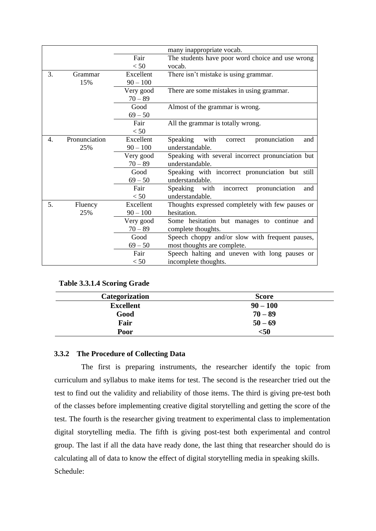|    |               |            | many inappropriate vocab.                           |  |  |
|----|---------------|------------|-----------------------------------------------------|--|--|
|    |               | Fair       | The students have poor word choice and use wrong    |  |  |
|    |               | < 50       | vocab.                                              |  |  |
| 3. | Grammar       | Excellent  | There isn't mistake is using grammar.               |  |  |
|    | 15%           | $90 - 100$ |                                                     |  |  |
|    |               | Very good  | There are some mistakes in using grammar.           |  |  |
|    |               | $70 - 89$  |                                                     |  |  |
|    |               | Good       | Almost of the grammar is wrong.                     |  |  |
|    |               | $69 - 50$  |                                                     |  |  |
|    |               | Fair       | All the grammar is totally wrong.                   |  |  |
|    |               | < 50       |                                                     |  |  |
| 4. | Pronunciation | Excellent  | Speaking<br>with<br>pronunciation<br>correct<br>and |  |  |
|    | 25%           | $90 - 100$ | understandable.                                     |  |  |
|    |               | Very good  | Speaking with several incorrect pronunciation but   |  |  |
|    |               | $70 - 89$  | understandable.                                     |  |  |
|    |               | Good       | Speaking with incorrect pronunciation but still     |  |  |
|    |               | $69 - 50$  | understandable.                                     |  |  |
|    |               | Fair       | Speaking with<br>pronunciation<br>incorrect<br>and  |  |  |
|    |               | < 50       | understandable.                                     |  |  |
| 5. | Fluency       | Excellent  | Thoughts expressed completely with few pauses or    |  |  |
|    | 25%           | $90 - 100$ | hesitation.                                         |  |  |
|    |               | Very good  | Some hesitation but manages to continue and         |  |  |
|    |               | $70 - 89$  | complete thoughts.                                  |  |  |
|    |               | Good       | Speech choppy and/or slow with frequent pauses,     |  |  |
|    |               | $69 - 50$  | most thoughts are complete.                         |  |  |
|    |               | Fair       | Speech halting and uneven with long pauses or       |  |  |
|    |               | < 50       | incomplete thoughts.                                |  |  |

**Table 3.3.1.4 Scoring Grade**

| <b>Categorization</b> | <b>Score</b> |
|-----------------------|--------------|
| <b>Excellent</b>      | $90 - 100$   |
| Good                  | $70 - 89$    |
| Fair                  | $50 - 69$    |
| Poor                  | $50$         |

# **3.3.2 The Procedure of Collecting Data**

The first is preparing instruments, the researcher identify the topic from curriculum and syllabus to make items for test. The second is the researcher tried out the test to find out the validity and reliability of those items. The third is giving pre-test both of the classes before implementing creative digital storytelling and getting the score of the test. The fourth is the researcher giving treatment to experimental class to implementation digital storytelling media. The fifth is giving post-test both experimental and control group. The last if all the data have ready done, the last thing that researcher should do is calculating all of data to know the effect of digital storytelling media in speaking skills. Schedule: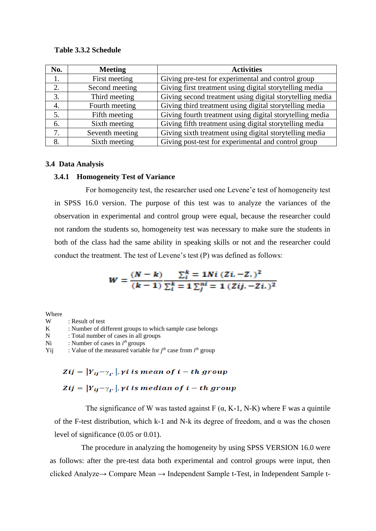### **Table 3.3.2 Schedule**

| No. | <b>Meeting</b>  | <b>Activities</b>                                        |
|-----|-----------------|----------------------------------------------------------|
| 1.  | First meeting   | Giving pre-test for experimental and control group       |
| 2.  | Second meeting  | Giving first treatment using digital storytelling media  |
| 3.  | Third meeting   | Giving second treatment using digital storytelling media |
| 4.  | Fourth meeting  | Giving third treatment using digital storytelling media  |
| 5.  | Fifth meeting   | Giving fourth treatment using digital storytelling media |
| 6.  | Sixth meeting   | Giving fifth treatment using digital storytelling media  |
| 7.  | Seventh meeting | Giving sixth treatment using digital storytelling media  |
| 8.  | Sixth meeting   | Giving post-test for experimental and control group      |

# **3.4 Data Analysis**

### **3.4.1 Homogeneity Test of Variance**

For homogeneity test, the researcher used one Levene'e test of homogeneity test in SPSS 16.0 version. The purpose of this test was to analyze the variances of the observation in experimental and control group were equal, because the researcher could not random the students so, homogeneity test was necessary to make sure the students in both of the class had the same ability in speaking skills or not and the researcher could conduct the treatment. The test of Levene's test (P) was defined as follows:

$$
W = \frac{(N-k)}{(k-1)} \frac{\sum_{i=1}^{k} N_i (Z_i - Z_i)^2}{\sum_{i=1}^{k} \sum_{j=1}^{n} (Z_i - Z_i)^2}
$$

Where

- W : Result of test<br>K : Number of di
- : Number of different groups to which sample case belongs
- N : Total number of cases in all groups
- Ni : Number of cases in  $i^{th}$  groups
- Yij : Value of the measured variable for  $j<sup>th</sup>$  case from  $i<sup>th</sup>$  group

# Zij =  $|Y_{ii} - \gamma_{i}|\rangle$ , yi is mean of i – th group Zij =  $|Y_{ij}-\gamma_i|$ , yi is median of i – th group

The significance of W was tasted against  $F(\alpha, K-1, N-K)$  where F was a quintile of the F-test distribution, which k-1 and N-k its degree of freedom, and  $\alpha$  was the chosen level of significance (0.05 or 0.01).

The procedure in analyzing the homogeneity by using SPSS VERSION 16.0 were as follows: after the pre-test data both experimental and control groups were input, then clicked Analyze→ Compare Mean → Independent Sample t-Test, in Independent Sample t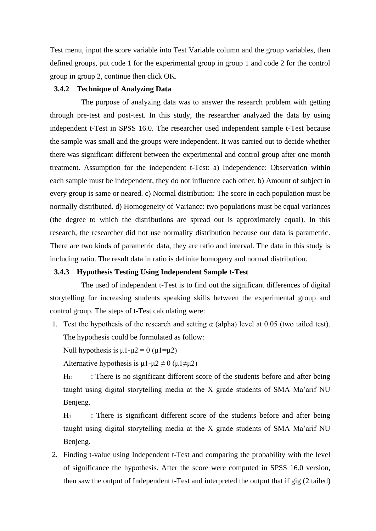Test menu, input the score variable into Test Variable column and the group variables, then defined groups, put code 1 for the experimental group in group 1 and code 2 for the control group in group 2, continue then click OK.

# **3.4.2 Technique of Analyzing Data**

The purpose of analyzing data was to answer the research problem with getting through pre-test and post-test. In this study, the researcher analyzed the data by using independent t-Test in SPSS 16.0. The researcher used independent sample t-Test because the sample was small and the groups were independent. It was carried out to decide whether there was significant different between the experimental and control group after one month treatment. Assumption for the independent t-Test: a) Independence: Observation within each sample must be independent, they do not influence each other. b) Amount of subject in every group is same or neared. c) Normal distribution: The score in each population must be normally distributed. d) Homogeneity of Variance: two populations must be equal variances (the degree to which the distributions are spread out is approximately equal). In this research, the researcher did not use normality distribution because our data is parametric. There are two kinds of parametric data, they are ratio and interval. The data in this study is including ratio. The result data in ratio is definite homogeny and normal distribution.

### **3.4.3 Hypothesis Testing Using Independent Sample t-Test**

The used of independent t-Test is to find out the significant differences of digital storytelling for increasing students speaking skills between the experimental group and control group. The steps of t-Test calculating were:

1. Test the hypothesis of the research and setting  $\alpha$  (alpha) level at 0.05 (two tailed test). The hypothesis could be formulated as follow:

Null hypothesis is  $\mu$ 1- $\mu$ 2 = 0 ( $\mu$ 1= $\mu$ 2)

Alternative hypothesis is  $\mu$ 1- $\mu$ 2  $\neq$  0 ( $\mu$ 1 $\neq$  $\mu$ 2)

H<sub>O</sub> : There is no significant different score of the students before and after being taught using digital storytelling media at the X grade students of SMA Ma'arif NU Benjeng.

 $H_1$  : There is significant different score of the students before and after being taught using digital storytelling media at the X grade students of SMA Ma'arif NU Benjeng.

2. Finding t-value using Independent t-Test and comparing the probability with the level of significance the hypothesis. After the score were computed in SPSS 16.0 version, then saw the output of Independent t-Test and interpreted the output that if gig (2 tailed)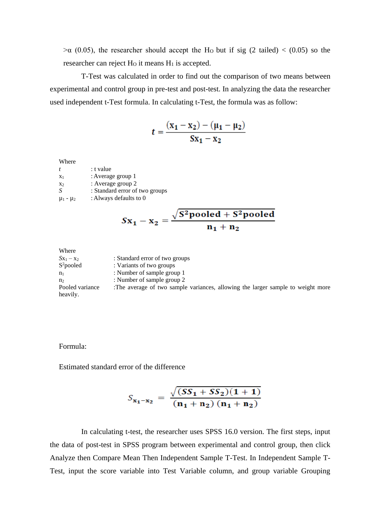$>\alpha$  (0.05), the researcher should accept the H<sub>O</sub> but if sig (2 tailed) < (0.05) so the researcher can reject  $H_0$  it means  $H_1$  is accepted.

T-Test was calculated in order to find out the comparison of two means between experimental and control group in pre-test and post-test. In analyzing the data the researcher used independent t-Test formula. In calculating t-Test, the formula was as follow:

$$
t = \frac{(x_1 - x_2) - (\mu_1 - \mu_2)}{Sx_1 - x_2}
$$

| : t value<br>t                            |  |
|-------------------------------------------|--|
| : Average group 1<br>$X_1$                |  |
| : Average group 2<br>X <sub>2</sub>       |  |
| S<br>: Standard error of two groups       |  |
| : Always defaults to 0<br>$\mu_1 - \mu_2$ |  |

$$
Sx_1 - x_2 = \frac{\sqrt{S^2 \text{pooled} + S^2 \text{pooled}}}{n_1 + n_2}
$$

Where  $Sx_1 - x_2$  : Standard error of two groups S<sup>2</sup>pooled : Variants of two groups  $n_1$  : Number of sample group 1  $n_2$  : Number of sample group 2 Pooled variance :The average of two sample variances, allowing the larger sample to weight more heavily.

# Formula:

Estimated standard error of the difference

$$
S_{x_1-x_2} = \frac{\sqrt{(SS_1 + SS_2)(1+1)}}{(n_1 + n_2) (n_1 + n_2)}
$$

In calculating t-test, the researcher uses SPSS 16.0 version. The first steps, input the data of post-test in SPSS program between experimental and control group, then click Analyze then Compare Mean Then Independent Sample T-Test. In Independent Sample T-Test, input the score variable into Test Variable column, and group variable Grouping